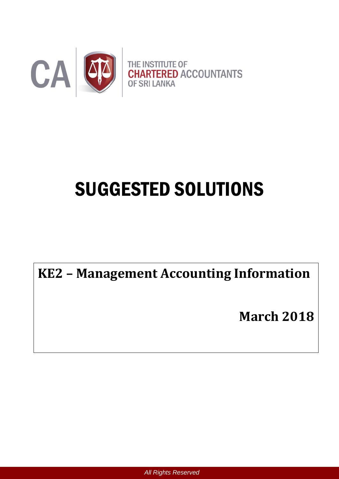

# SUGGESTED SOLUTIONS

**KE2 – Management Accounting Information**

**March 2018**

*All Rights Reserved*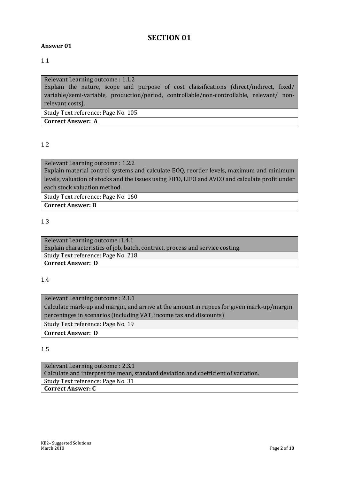# **SECTION 01**

#### **Answer 01**

#### 1.1

Relevant Learning outcome : 1.1.2 Explain the nature, scope and purpose of cost classifications (direct/indirect, fixed/ variable/semi-variable, production/period, controllable/non-controllable, relevant/ nonrelevant costs). Study Text reference: Page No. 105 **Correct Answer: A**

#### 1.2

Relevant Learning outcome : 1.2.2 Explain material control systems and calculate EOQ, reorder levels, maximum and minimum levels, valuation of stocks and the issues using FIFO, LIFO and AVCO and calculate profit under each stock valuation method.

Study Text reference: Page No. 160

**Correct Answer: B**

#### 1.3

Relevant Learning outcome :1.4.1 Explain characteristics of job, batch, contract, process and service costing. Study Text reference: Page No. 218 **Correct Answer: D**

#### 1.4

Relevant Learning outcome : 2.1.1 Calculate mark-up and margin, and arrive at the amount in rupees for given mark-up/margin percentages in scenarios (including VAT, income tax and discounts) Study Text reference: Page No. 19 **Correct Answer: D**

#### 1.5

Relevant Learning outcome : 2.3.1 Calculate and interpret the mean, standard deviation and coefficient of variation. Study Text reference: Page No. 31 **Correct Answer: C**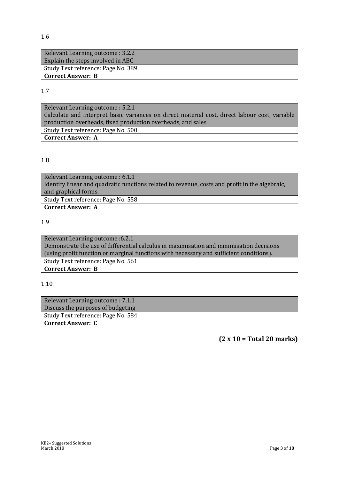| Relevant Learning outcome : 3.2.2  |
|------------------------------------|
| Explain the steps involved in ABC  |
| Study Text reference: Page No. 389 |
| Correct Answer: B                  |

1.7

Relevant Learning outcome : 5.2.1 Calculate and interpret basic variances on direct material cost, direct labour cost, variable production overheads, fixed production overheads, and sales. Study Text reference: Page No. 500 **Correct Answer: A**

#### 1.8

Relevant Learning outcome : 6.1.1 Identify linear and quadratic functions related to revenue, costs and profit in the algebraic, and graphical forms. Study Text reference: Page No. 558 **Correct Answer: A**

#### 1.9

Relevant Learning outcome :6.2.1 Demonstrate the use of differential calculus in maximisation and minimisation decisions (using profit function or marginal functions with necessary and sufficient conditions). Study Text reference: Page No. 561 **Correct Answer: B**

#### 1.10

| Relevant Learning outcome : 7.1.1  |
|------------------------------------|
| Discuss the purposes of budgeting  |
| Study Text reference: Page No. 584 |
| <b>Correct Answer: C</b>           |

**(2 x 10 = Total 20 marks)**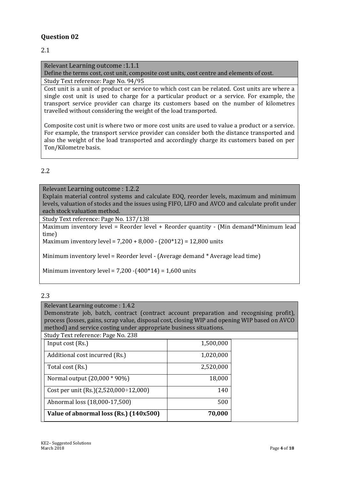## **Question 02**

#### 2.1

Relevant Learning outcome :1.1.1

Define the terms cost, cost unit, composite cost units, cost centre and elements of cost.

Study Text reference: Page No. 94/95

Cost unit is a unit of product or service to which cost can be related. Cost units are where a single cost unit is used to charge for a particular product or a service. For example, the transport service provider can charge its customers based on the number of kilometres travelled without considering the weight of the load transported.

Composite cost unit is where two or more cost units are used to value a product or a service. For example, the transport service provider can consider both the distance transported and also the weight of the load transported and accordingly charge its customers based on per Ton/Kilometre basis.

## 2.2

Relevant Learning outcome : 1.2.2 Explain material control systems and calculate EOQ, reorder levels, maximum and minimum levels, valuation of stocks and the issues using FIFO, LIFO and AVCO and calculate profit under each stock valuation method.

Study Text reference: Page No. 137/138

Maximum inventory level = Reorder level + Reorder quantity - (Min demand\*Minimum lead time)

Maximum inventory level = 7,200 + 8,000 - (200\*12) = 12,800 units

Minimum inventory level = Reorder level - (Average demand \* Average lead time)

Minimum inventory level =  $7,200 - (400 * 14) = 1,600$  units

#### 2.3

Relevant Learning outcome : 1.4.2

Demonstrate job, batch, contract (contract account preparation and recognising profit), process (losses, gains, scrap value, disposal cost, closing WIP and opening WIP based on AVCO method) and service costing under appropriate business situations.

| Study Text reference: Page No. 238          |           |  |
|---------------------------------------------|-----------|--|
| Input cost (Rs.)                            | 1,500,000 |  |
| Additional cost incurred (Rs.)              | 1,020,000 |  |
| Total cost (Rs.)                            | 2,520,000 |  |
| Normal output (20,000 * 90%)                | 18,000    |  |
| Cost per unit $(Rs.)(2,520,000\div 12,000)$ | 140       |  |
| Abnormal loss (18,000-17,500)               | 500       |  |
| Value of abnormal loss (Rs.) (140x500)      | 70,000    |  |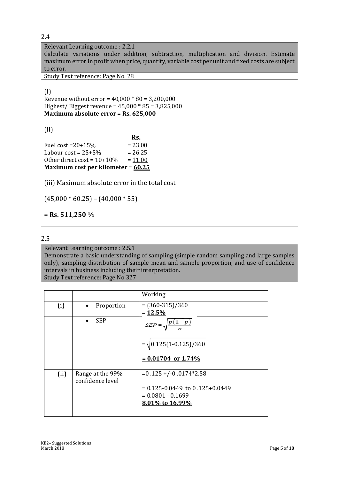Relevant Learning outcome : 2.2.1

Calculate variations under addition, subtraction, multiplication and division. Estimate maximum error in profit when price, quantity, variable cost per unit and fixed costs are subject to error.

Study Text reference: Page No. 28

(i)

Revenue without error = 40,000 \* 80 = 3,200,000 Highest/ Biggest revenue = 45,000 \* 85 = 3,825,000 **Maximum absolute error** = **Rs. 625,000** 

(ii)

**Rs. Rs.** Fuel cost =  $20+15%$  =  $23.00$ Labour  $cost = 25 + 5\% = 26.25$ Other direct cost =  $10+10% = 11.00$ **Maximum cost per kilometer** = **60.25** 

(iii) Maximum absolute error in the total cost

 $(45,000 * 60.25) - (40,000 * 55)$ 

= **Rs. 511,250 ½**

#### 2.5

#### Relevant Learning outcome : 2.5.1

Demonstrate a basic understanding of sampling (simple random sampling and large samples only), sampling distribution of sample mean and sample proportion, and use of confidence intervals in business including their interpretation.

Study Text reference: Page No 327

|      |                                      | Working                            |
|------|--------------------------------------|------------------------------------|
| (i)  | Proportion<br>$\bullet$              | $=(360-315)/360$                   |
|      |                                      | $= 12.5\%$                         |
|      | <b>SEP</b><br>$\bullet$              | $(1-p)$<br>$SEP =$                 |
|      |                                      | $= \sqrt{0.125(1-0.125)/360}$      |
|      |                                      | $= 0.01704$ or 1.74%               |
| (ii) | Range at the 99%<br>confidence level | $= 0.125 + (-0.0174)$ *2.58        |
|      |                                      | $= 0.125 - 0.0449$ to 0.125+0.0449 |
|      |                                      | $= 0.0801 - 0.1699$                |
|      |                                      | 8.01% to 16.99%                    |
|      |                                      |                                    |
|      |                                      |                                    |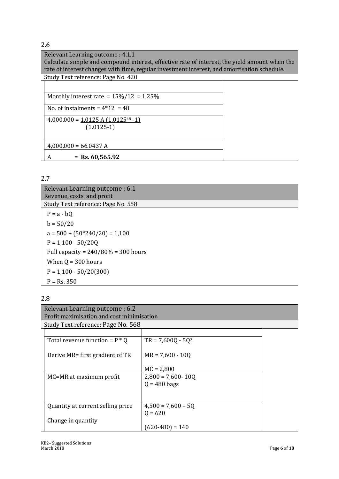| Relevant Learning outcome: 4.1.1                                                              |  |  |
|-----------------------------------------------------------------------------------------------|--|--|
| Calculate simple and compound interest, effective rate of interest, the yield amount when the |  |  |
| rate of interest changes with time, regular investment interest, and amortisation schedule.   |  |  |
| Study Text reference: Page No. 420                                                            |  |  |
|                                                                                               |  |  |
|                                                                                               |  |  |
| Monthly interest rate = $15\%/12 = 1.25\%$                                                    |  |  |
| No. of instalments = $4*12 = 48$                                                              |  |  |
|                                                                                               |  |  |
| $4,000,000 = 1.0125 A (1.0125^{48} - 1)$                                                      |  |  |
| $(1.0125-1)$                                                                                  |  |  |
|                                                                                               |  |  |
| $4,000,000 = 66.0437 A$                                                                       |  |  |
|                                                                                               |  |  |
| $=$ Rs. 60,565.92<br>А                                                                        |  |  |

2.7

| Relevant Learning outcome : 6.1<br>Revenue, costs and profit |
|--------------------------------------------------------------|
| Study Text reference: Page No. 558                           |
| $P = a - bQ$                                                 |
| $b = 50/20$                                                  |
| $a = 500 + (50*240/20) = 1,100$                              |
| $P = 1,100 - 50/20Q$                                         |
| Full capacity = $240/80\%$ = 300 hours                       |
| When $Q = 300$ hours                                         |
| $P = 1,100 - 50/20(300)$                                     |
| $P = Rs. 350$                                                |

# 2.8

| Relevant Learning outcome : 6.2<br>Profit maximisation and cost minimisation |                                    |  |  |  |
|------------------------------------------------------------------------------|------------------------------------|--|--|--|
|                                                                              | Study Text reference: Page No. 568 |  |  |  |
|                                                                              |                                    |  |  |  |
| Total revenue function = $P * Q$                                             | $TR = 7,600Q - 5Q^2$               |  |  |  |
| Derive MR= first gradient of TR                                              | $MR = 7,600 - 100$                 |  |  |  |
|                                                                              | $MC = 2,800$                       |  |  |  |
| MC=MR at maximum profit                                                      | $2,800 = 7,600 - 100$              |  |  |  |
|                                                                              | $Q = 480$ bags                     |  |  |  |
|                                                                              |                                    |  |  |  |
| Quantity at current selling price                                            | $4,500 = 7,600 - 5Q$               |  |  |  |
|                                                                              | $Q = 620$                          |  |  |  |
| Change in quantity                                                           |                                    |  |  |  |
|                                                                              | $(620-480) = 140$                  |  |  |  |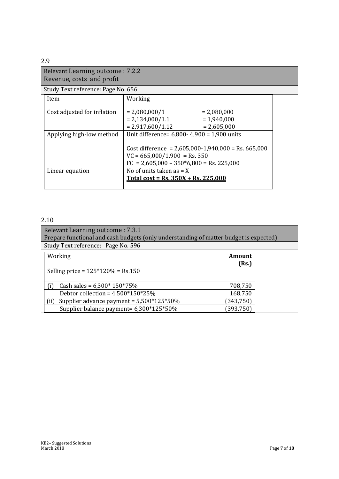| Relevant Learning outcome: 7.2.2<br>Revenue, costs and profit |                                                                                                                                                                                           |  |  |  |
|---------------------------------------------------------------|-------------------------------------------------------------------------------------------------------------------------------------------------------------------------------------------|--|--|--|
| Study Text reference: Page No. 656                            |                                                                                                                                                                                           |  |  |  |
| Item                                                          | Working                                                                                                                                                                                   |  |  |  |
| Cost adjusted for inflation                                   | $= 2,080,000/1$<br>$= 2,080,000$<br>$= 2,134,000/1.1$<br>$= 1,940,000$<br>$= 2,917,600/1.12$<br>$= 2,605,000$                                                                             |  |  |  |
| Applying high-low method                                      | Unit difference= $6,800 - 4,900 = 1,900$ units<br>Cost difference = $2,605,000 - 1,940,000 =$ Rs. 665,000<br>$VC = 665,000/1,900 = Rs. 350$<br>$FC = 2,605,000 - 350*6,800 = Rs. 225,000$ |  |  |  |
| Linear equation                                               | No of units taken as $= X$<br>Total cost = Rs. $350X + Rs$ . 225,000                                                                                                                      |  |  |  |

#### 2.10

| Relevant Learning outcome: 7.3.1<br>Prepare functional and cash budgets (only understanding of matter budget is expected) |                 |  |  |
|---------------------------------------------------------------------------------------------------------------------------|-----------------|--|--|
| Study Text reference: Page No. 596                                                                                        |                 |  |  |
| Working                                                                                                                   | Amount<br>(Rs.) |  |  |
| Selling price = $125*120%$ = Rs.150                                                                                       |                 |  |  |
| Cash sales = $6,300*150*75%$<br>(i)                                                                                       | 708,750         |  |  |
| Debtor collection = $4,500*150*25%$                                                                                       | 168,750         |  |  |
| Supplier advance payment = 5,500*125*50%                                                                                  | (343, 750)      |  |  |
| Supplier balance payment= 6,300*125*50%                                                                                   | (393,750`       |  |  |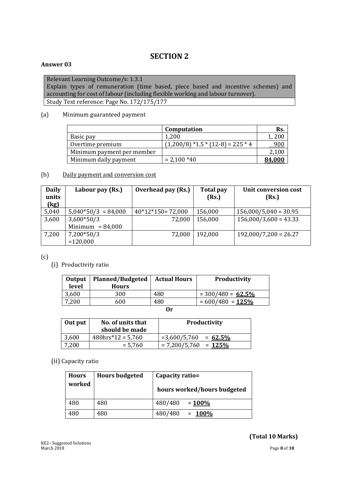# **SECTION 2**

#### **Answer 03**

Relevant Learning Outcome/s: 1.3.1 Explain types of remuneration (time based, piece based and incentive schemes) and accounting for cost of labour (including flexible working and labour turnover). Study Text reference: Page No. 172/175/177

#### (a) Minimum guaranteed payment

|                            | Computation                           | Rs.           |
|----------------------------|---------------------------------------|---------------|
| Basic pay                  | 1,200                                 | 1,200         |
| Overtime premium           | $(1,200/8)$ *1.5 * $(12-8)$ = 225 * 4 | 900           |
| Minimum payment per member |                                       | 2,100         |
| Minimum daily payment      | $= 2,100*40$                          | <u>84.000</u> |

#### (b) Daily payment and conversion cost

| <b>Daily</b><br>units | Labour pay (Rs.)      | Overhead pay (Rs.) | <b>Total pay</b><br>(Rs.) | <b>Unit conversion cost</b><br>(Rs.) |
|-----------------------|-----------------------|--------------------|---------------------------|--------------------------------------|
| (kg)                  |                       |                    |                           |                                      |
| 5,040                 | $5,040*50/3 = 84,000$ | $40*12*150=72,000$ | 156,000                   | $156,000/5,040 = 30.95$              |
| 3,600                 | $3,600*50/3$          | 72,000             | 156,000                   | $156,000/3,600 = 43.33$              |
|                       | Minimum = $84,000$    |                    |                           |                                      |
| 7,200                 | 7,200*50/3            | 72,000             | 192,000                   | $192,000/7,200 = 26.27$              |
|                       | $=120,000$            |                    |                           |                                      |

(c)

(i) Productivity ratio

| Output<br>level | <b>Planned/Budgeted</b><br><b>Hours</b> | <b>Actual Hours</b> | Productivity         |
|-----------------|-----------------------------------------|---------------------|----------------------|
| 3,600           | 300                                     | 480                 | $= 300/480 = 62.5\%$ |
| 7,200           | 600                                     | 480                 | $= 600/480 = 125\%$  |
| $\mathbf{r}$    |                                         |                     |                      |

**Or**

| Out put | No. of units that<br>should be made | Productivity                  |
|---------|-------------------------------------|-------------------------------|
| 3,600   | $480$ hrs*12 = 5.760                | $= 3,600/5,760$<br>$= 62.5\%$ |
| 7,200   | $= 5,760$                           | $= 7,200/5,760 = 125\%$       |

#### (ii) Capacity ratio

| <b>Hours</b> | <b>Hours budgeted</b> | Capacity ratio=             |  |
|--------------|-----------------------|-----------------------------|--|
| worked       |                       | hours worked/hours budgeted |  |
| 480          | 480                   | 480/480<br>$= 100\%$        |  |
| 480          | 480                   | 480/480<br>$= 100\%$        |  |

### **(Total 10 Marks)**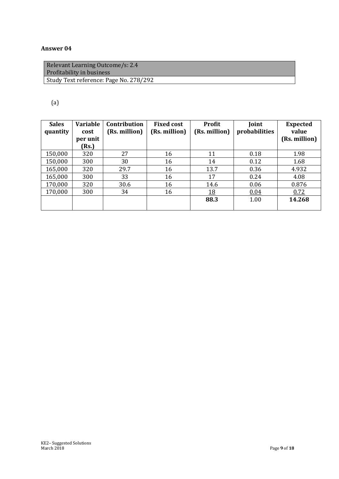# **Answer 04**

| Relevant Learning Outcome/s: 2.4<br>Profitability in business |
|---------------------------------------------------------------|
| Study Text reference: Page No. 278/292                        |

## (a)

| <b>Sales</b><br>quantity | <b>Variable</b><br>cost | <b>Contribution</b><br>(Rs. million) | <b>Fixed cost</b><br>(Rs. million) | <b>Profit</b><br>(Rs. million) | Joint<br>probabilities | <b>Expected</b><br>value |
|--------------------------|-------------------------|--------------------------------------|------------------------------------|--------------------------------|------------------------|--------------------------|
|                          | per unit<br>(Rs.)       |                                      |                                    |                                |                        | (Rs. million)            |
| 150,000                  | 320                     | 27                                   | 16                                 | 11                             | 0.18                   | 1.98                     |
| 150,000                  | 300                     | 30                                   | 16                                 | 14                             | 0.12                   | 1.68                     |
| 165,000                  | 320                     | 29.7                                 | 16                                 | 13.7                           | 0.36                   | 4.932                    |
| 165,000                  | 300                     | 33                                   | 16                                 | 17                             | 0.24                   | 4.08                     |
| 170,000                  | 320                     | 30.6                                 | 16                                 | 14.6                           | 0.06                   | 0.876                    |
| 170,000                  | 300                     | 34                                   | 16                                 | <u>18</u>                      | 0.04                   | 0.72                     |
|                          |                         |                                      |                                    | 88.3                           | 1.00                   | 14.268                   |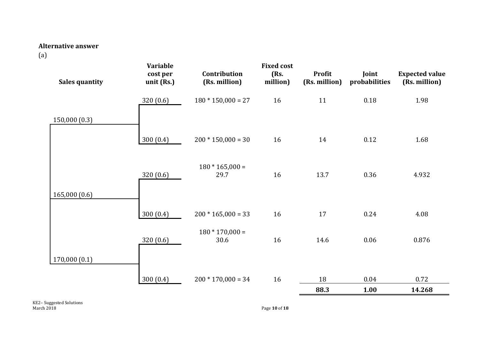#### **Alternative answer**

(a)

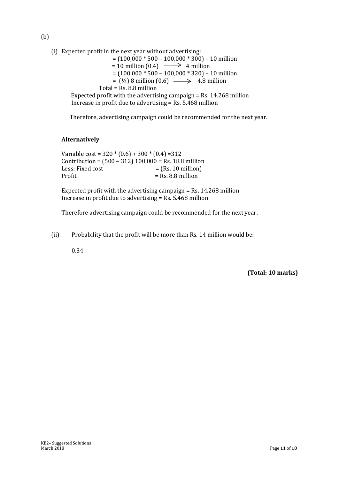(b)

(i) Expected profit in the next year without advertising:

 $= (100,000 * 500 - 100,000 * 300) - 10$  million

- $= 10$  million  $(0.4) \longrightarrow 4$  million = (100,000 \* 500 – 100,000 \* 320) – 10 million
	- $=$  ( $\frac{1}{2}$ ) 8 million (0.6)  $\longrightarrow$  4.8 million
- Total = Rs. 8.8 million

 Expected profit with the advertising campaign = Rs. 14.268 million Increase in profit due to advertising = Rs. 5.468 million

Therefore, advertising campaign could be recommended for the next year.

#### **Alternatively**

Variable cost =  $320 * (0.6) + 300 * (0.4) = 312$ Contribution =  $(500 - 312) 100,000 =$  Rs. 18.8 million Less: Fixed cost  $=$   $(Rs. 10 \text{ million})$ Profit  $=$  Rs. 8.8 million

Expected profit with the advertising campaign = Rs. 14.268 million Increase in profit due to advertising = Rs. 5.468 million

Therefore advertising campaign could be recommended for the next year.

(ii) Probability that the profit will be more than Rs. 14 million would be:

0.34

**(Total: 10 marks)**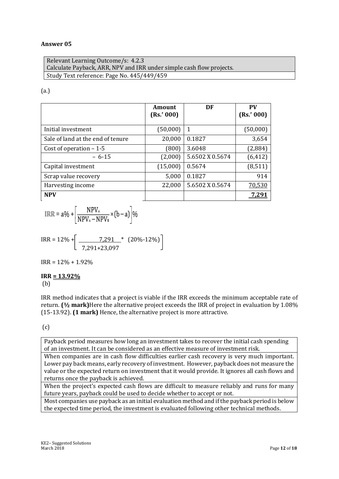#### **Answer 05**

Relevant Learning Outcome/s: 4.2.3 Calculate Payback, ARR, NPV and IRR under simple cash flow projects. Study Text reference: Page No. 445/449/459

#### (a.)

|                                   | <b>Amount</b><br>(Rs.' 000) | DF              | <b>PV</b><br>(Rs.' 000) |
|-----------------------------------|-----------------------------|-----------------|-------------------------|
| Initial investment                | (50,000)                    | 1               | (50,000)                |
| Sale of land at the end of tenure | 20,000                      | 0.1827          | 3,654                   |
| Cost of operation $-1-5$          | (800)                       | 3.6048          | (2,884)                 |
| $-6-15$                           | (2,000)                     | 5.6502 X 0.5674 | (6, 412)                |
| Capital investment                | (15,000)                    | 0.5674          | (8, 511)                |
| Scrap value recovery              | 5,000                       | 0.1827          | 914                     |
| Harvesting income                 | 22,000                      | 5.6502 X 0.5674 | 70,530                  |
| <b>NPV</b>                        |                             |                 |                         |

$$
IRR = a\% + \left[\frac{NPV_A}{NPV_A - NPV_B} \times (b-a)\right]\%
$$

$$
IRR = 12\% + \left[ \frac{7,291}{7,291+23,097} * (20\% - 12\%) \right]
$$

 $IRR = 12\% + 1.92\%$ 

#### **IRR = 13.92%** (b)

IRR method indicates that a project is viable if the IRR exceeds the minimum acceptable rate of return. **(½ mark)**Here the alternative project exceeds the IRR of project in evaluation by 1.08% (15-13.92). **(1 mark)** Hence, the alternative project is more attractive.

#### (c)

Payback period measures how long an investment takes to recover the initial cash spending of an investment. It can be considered as an effective measure of investment risk.

When companies are in cash flow difficulties earlier cash recovery is very much important. Lower pay back means, early recovery of investment. However, payback does not measure the value or the expected return on investment that it would provide. It ignores all cash flows and returns once the payback is achieved.

When the project's expected cash flows are difficult to measure reliably and runs for many future years, payback could be used to decide whether to accept or not.

Most companies use payback as an initial evaluation method and if the payback period is below the expected time period, the investment is evaluated following other technical methods.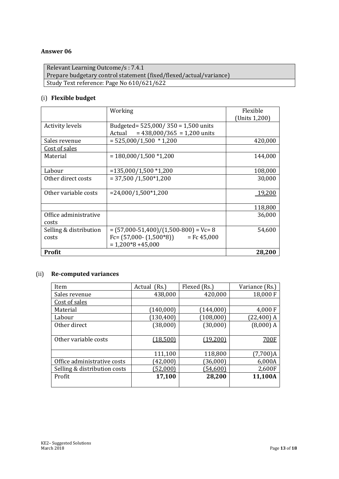#### **Answer 06**

Relevant Learning Outcome/s : 7.4.1 Prepare budgetary control statement (fixed/flexed/actual/variance) Study Text reference: Page No 610/621/622

#### (i) **Flexible budget**

|                        | Working                                  | Flexible<br>(Units 1,200) |
|------------------------|------------------------------------------|---------------------------|
| <b>Activity levels</b> | Budgeted= $525,000/350 = 1,500$ units    |                           |
|                        | $= 438,000/365 = 1,200$ units<br>Actual  |                           |
| Sales revenue          | $= 525,000/1,500 * 1,200$                | 420,000                   |
| Cost of sales          |                                          |                           |
| Material               | $= 180,000/1,500 *1,200$                 | 144,000                   |
|                        |                                          |                           |
| Labour                 | $= 135,000/1,500 * 1,200$                | 108,000                   |
| Other direct costs     | $= 37,500 / 1,500 \times 1,200$          | 30,000                    |
|                        |                                          |                           |
| Other variable costs   | $= 24,000/1,500*1,200$                   | 19,200                    |
|                        |                                          |                           |
|                        |                                          | 118,800                   |
| Office administrative  |                                          | 36,000                    |
| costs                  |                                          |                           |
| Selling & distribution | $=(57,000-51,400)/(1,500-800)$ = Vc= 8   | 54,600                    |
| costs                  | $Fc = (57,000 - (1,500)^*8)$ = Fc 45,000 |                           |
|                        | $= 1,200*8 + 45,000$                     |                           |
| Profit                 |                                          | 28,200                    |

#### (ii) **Re-computed variances**

| Item                         | Actual<br>(Rs.) | Flexed (Rs.) | Variance (Rs.) |
|------------------------------|-----------------|--------------|----------------|
| Sales revenue                | 438,000         | 420,000      | 18,000 F       |
| Cost of sales                |                 |              |                |
| Material                     | (140,000)       | (144,000)    | 4,000 F        |
| Labour                       | (130, 400)      | (108,000)    | $(22,400)$ A   |
| Other direct                 | (38,000)        | (30,000)     | $(8,000)$ A    |
|                              |                 |              |                |
| Other variable costs         | (18,500)        | (19,200)     | 700F           |
|                              |                 |              |                |
|                              | 111,100         | 118,800      | $(7,700)$ A    |
| Office administrative costs  | (42,000)        | (36,000)     | 6,000A         |
| Selling & distribution costs | (52,000)        | (54, 600)    | 2,600F         |
| Profit                       | 17,100          | 28,200       | 11,100A        |
|                              |                 |              |                |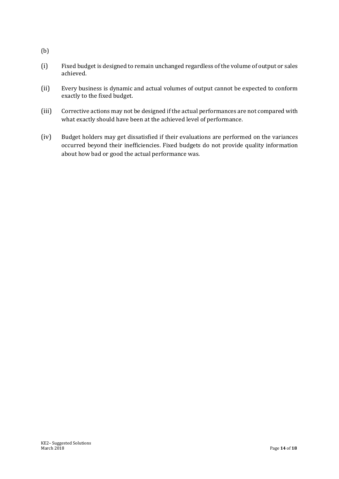- (b)
- (i) Fixed budget is designed to remain unchanged regardless of the volume of output or sales achieved.
- (ii) Every business is dynamic and actual volumes of output cannot be expected to conform exactly to the fixed budget.
- (iii) Corrective actions may not be designed if the actual performances are not compared with what exactly should have been at the achieved level of performance.
- (iv) Budget holders may get dissatisfied if their evaluations are performed on the variances occurred beyond their inefficiencies. Fixed budgets do not provide quality information about how bad or good the actual performance was.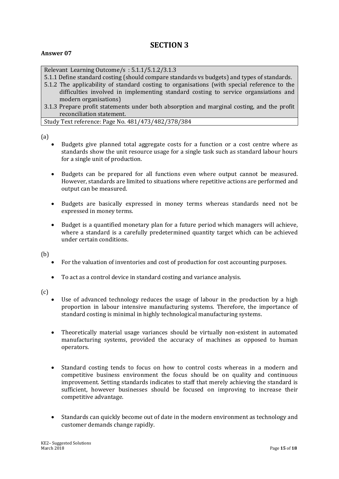# **SECTION 3**

#### **Answer 07**

Relevant Learning Outcome/s : 5.1.1/5.1.2/3.1.3

5.1.1 Define standard costing (should compare standards vs budgets) and types of standards.

- 5.1.2 The applicability of standard costing to organisations (with special reference to the difficulties involved in implementing standard costing to service organsiations and modern organisations)
- 3.1.3 Prepare profit statements under both absorption and marginal costing, and the profit reconciliation statement.

Study Text reference: Page No. 481/473/482/378/384

(a)

- Budgets give planned total aggregate costs for a function or a cost centre where as standards show the unit resource usage for a single task such as standard labour hours for a single unit of production.
- Budgets can be prepared for all functions even where output cannot be measured. However, standards are limited to situations where repetitive actions are performed and output can be measured.
- Budgets are basically expressed in money terms whereas standards need not be expressed in money terms.
- Budget is a quantified monetary plan for a future period which managers will achieve, where a standard is a carefully predetermined quantity target which can be achieved under certain conditions.

(b)

- For the valuation of inventories and cost of production for cost accounting purposes.
- To act as a control device in standard costing and variance analysis.

 $(c)$ 

- Use of advanced technology reduces the usage of labour in the production by a high proportion in labour intensive manufacturing systems. Therefore, the importance of standard costing is minimal in highly technological manufacturing systems.
- Theoretically material usage variances should be virtually non-existent in automated manufacturing systems, provided the accuracy of machines as opposed to human operators.
- Standard costing tends to focus on how to control costs whereas in a modern and competitive business environment the focus should be on quality and continuous improvement. Setting standards indicates to staff that merely achieving the standard is sufficient, however businesses should be focused on improving to increase their competitive advantage.
- Standards can quickly become out of date in the modern environment as technology and customer demands change rapidly.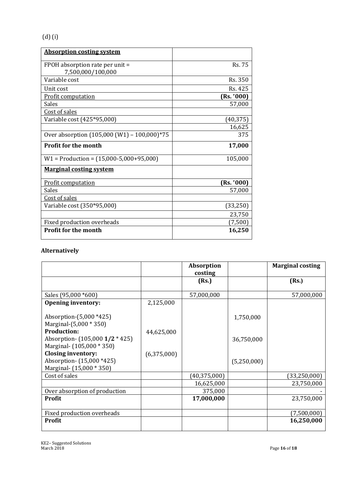| <b>Absorption costing system</b>                 |               |
|--------------------------------------------------|---------------|
|                                                  | <b>Rs. 75</b> |
| FPOH absorption rate per unit =                  |               |
| 7,500,000/100,000                                |               |
| Variable cost                                    | Rs. 350       |
| Unit cost                                        | Rs. 425       |
| <b>Profit computation</b>                        | (Rs. '000)    |
| Sales                                            | 57,000        |
| Cost of sales                                    |               |
| Variable cost (425*95,000)                       | (40, 375)     |
|                                                  | 16,625        |
| Over absorption (105,000 (W1) - 100,000)*75      | 375           |
| <b>Profit for the month</b>                      | 17,000        |
| $W1 = \text{Production} = (15,000-5,000+95,000)$ | 105,000       |
| <b>Marginal costing system</b>                   |               |
| <b>Profit computation</b>                        | (Rs. '000)    |
| Sales                                            | 57,000        |
| Cost of sales                                    |               |
| Variable cost (350*95,000)                       | (33,250)      |
|                                                  | 23,750        |
| Fixed production overheads                       | (7,500)       |
| <b>Profit for the month</b>                      | 16,250        |

## **Alternatively**

|                                                                                    |             | <b>Absorption</b><br>costing |             | <b>Marginal costing</b> |
|------------------------------------------------------------------------------------|-------------|------------------------------|-------------|-------------------------|
|                                                                                    |             | (Rs.)                        |             | (Rs.)                   |
| Sales (95,000 *600)                                                                |             | 57,000,000                   |             | 57,000,000              |
| <b>Opening inventory:</b>                                                          | 2,125,000   |                              |             |                         |
| Absorption-(5,000 *425)<br>Marginal-(5,000 * 350)<br><b>Production:</b>            | 44,625,000  |                              | 1,750,000   |                         |
| Absorption- $(105,0001/2 * 425)$<br>Marginal- (105,000 * 350)                      |             |                              | 36,750,000  |                         |
| <b>Closing inventory:</b><br>Absorption- (15,000 *425)<br>Marginal- (15,000 * 350) | (6,375,000) |                              | (5,250,000) |                         |
| Cost of sales                                                                      |             | (40, 375, 000)               |             | (33,250,000)            |
|                                                                                    |             | 16,625,000                   |             | 23,750,000              |
| Over absorption of production                                                      |             | 375,000                      |             |                         |
| Profit                                                                             |             | 17,000,000                   |             | 23,750,000              |
| Fixed production overheads                                                         |             |                              |             | (7,500,000)             |
| Profit                                                                             |             |                              |             | 16,250,000              |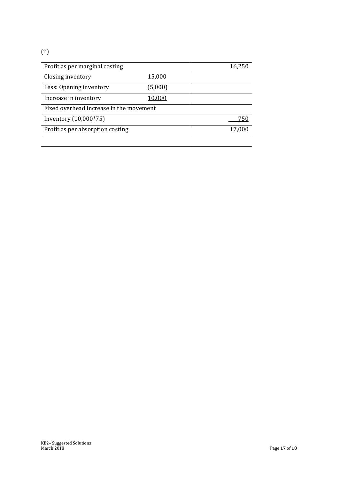## (ii)

| Profit as per marginal costing          |         | 16,250 |
|-----------------------------------------|---------|--------|
| Closing inventory                       | 15,000  |        |
| Less: Opening inventory                 | (5,000) |        |
| Increase in inventory                   | 10,000  |        |
| Fixed overhead increase in the movement |         |        |
| Inventory (10,000*75)                   |         | 750    |
| Profit as per absorption costing        |         | 17,000 |
|                                         |         |        |